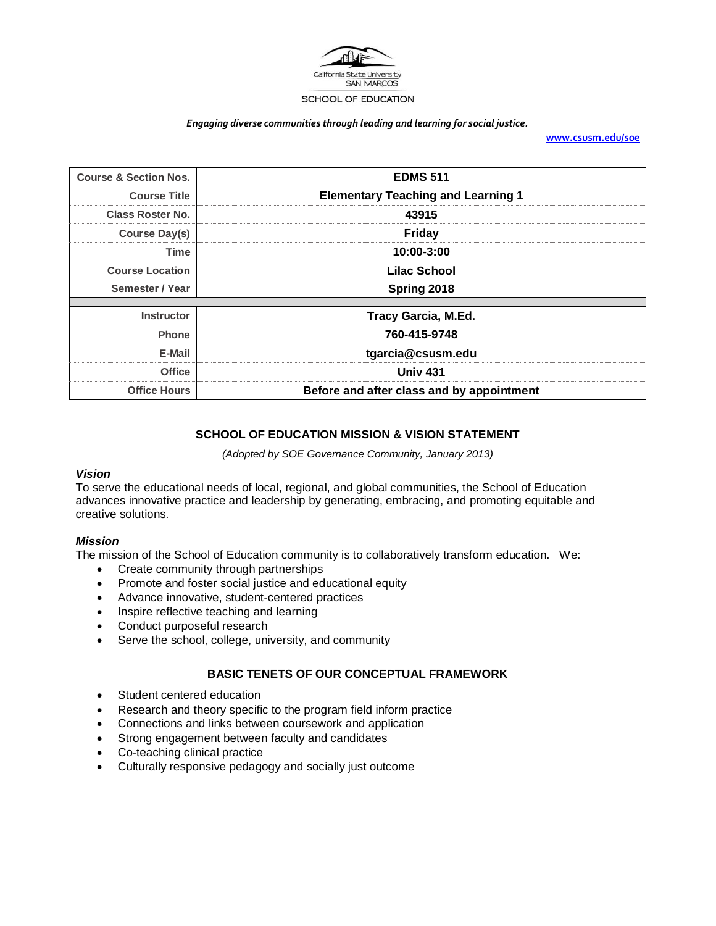

#### *Engaging diverse communities through leading and learning for social justice.*

**[www.csusm.edu/soe](http://www.csusm.edu/soe)**

| <b>Course &amp; Section Nos.</b> | <b>EDMS 511</b>                           |
|----------------------------------|-------------------------------------------|
| <b>Course Title</b>              | <b>Elementary Teaching and Learning 1</b> |
| <b>Class Roster No.</b>          | 43915                                     |
| Course Day(s)                    | <b>Friday</b>                             |
| <b>Time</b>                      | 10:00-3:00                                |
| <b>Course Location</b>           | Lilac School                              |
| Semester / Year                  | Spring 2018                               |
|                                  |                                           |
| <b>Instructor</b>                | <b>Tracy Garcia, M.Ed.</b>                |
| <b>Phone</b>                     | 760-415-9748                              |
| E-Mail                           | tgarcia@csusm.edu                         |
| <b>Office</b>                    | <b>Univ 431</b>                           |
| <b>Office Hours</b>              | Before and after class and by appointment |

# **SCHOOL OF EDUCATION MISSION & VISION STATEMENT**

*(Adopted by SOE Governance Community, January 2013)*

### *Vision*

To serve the educational needs of local, regional, and global communities, the School of Education advances innovative practice and leadership by generating, embracing, and promoting equitable and creative solutions.

### *Mission*

The mission of the School of Education community is to collaboratively transform education. We:

- Create community through partnerships
- Promote and foster social justice and educational equity
- Advance innovative, student-centered practices
- Inspire reflective teaching and learning
- Conduct purposeful research
- Serve the school, college, university, and community

### **BASIC TENETS OF OUR CONCEPTUAL FRAMEWORK**

- Student centered education
- Research and theory specific to the program field inform practice
- Connections and links between coursework and application
- Strong engagement between faculty and candidates
- Co-teaching clinical practice
- Culturally responsive pedagogy and socially just outcome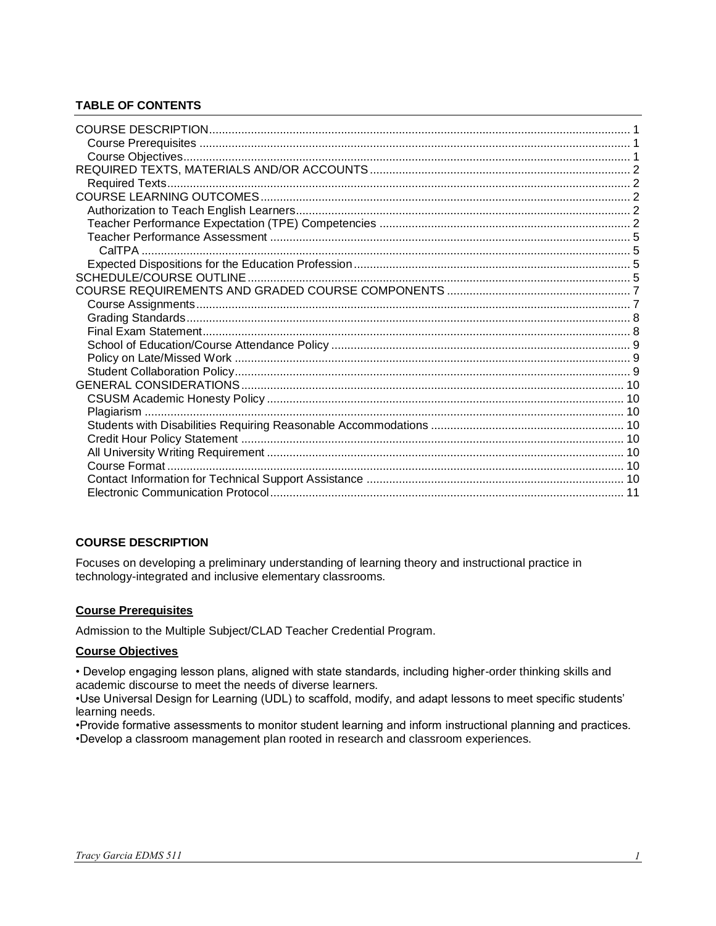# **TABLE OF CONTENTS**

## <span id="page-1-0"></span>**COURSE DESCRIPTION**

Focuses on developing a preliminary understanding of learning theory and instructional practice in technology-integrated and inclusive elementary classrooms.

## <span id="page-1-1"></span>**Course Prerequisites**

Admission to the Multiple Subject/CLAD Teacher Credential Program.

### <span id="page-1-2"></span>**Course Objectives**

• Develop engaging lesson plans, aligned with state standards, including higher-order thinking skills and academic discourse to meet the needs of diverse learners.

•Use Universal Design for Learning (UDL) to scaffold, modify, and adapt lessons to meet specific students' learning needs.

<span id="page-1-3"></span>•Provide formative assessments to monitor student learning and inform instructional planning and practices. •Develop a classroom management plan rooted in research and classroom experiences.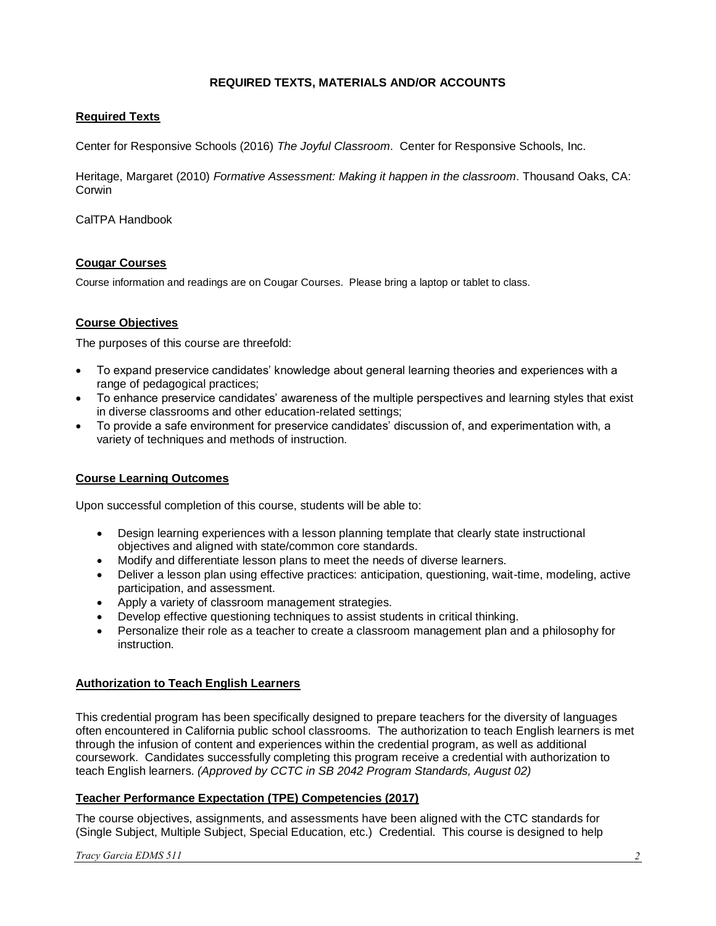## **REQUIRED TEXTS, MATERIALS AND/OR ACCOUNTS**

## <span id="page-2-0"></span>**Required Texts**

Center for Responsive Schools (2016) *The Joyful Classroom*. Center for Responsive Schools, Inc.

Heritage, Margaret (2010) *Formative Assessment: Making it happen in the classroom*. Thousand Oaks, CA: Corwin

CalTPA Handbook

## **Cougar Courses**

Course information and readings are on Cougar Courses. Please bring a laptop or tablet to class.

## **Course Objectives**

The purposes of this course are threefold:

- To expand preservice candidates' knowledge about general learning theories and experiences with a range of pedagogical practices;
- To enhance preservice candidates' awareness of the multiple perspectives and learning styles that exist in diverse classrooms and other education-related settings;
- To provide a safe environment for preservice candidates' discussion of, and experimentation with, a variety of techniques and methods of instruction.

### **Course Learning Outcomes**

Upon successful completion of this course, students will be able to:

- Design learning experiences with a lesson planning template that clearly state instructional objectives and aligned with state/common core standards.
- Modify and differentiate lesson plans to meet the needs of diverse learners.
- Deliver a lesson plan using effective practices: anticipation, questioning, wait-time, modeling, active participation, and assessment.
- Apply a variety of classroom management strategies.
- Develop effective questioning techniques to assist students in critical thinking.
- Personalize their role as a teacher to create a classroom management plan and a philosophy for instruction.

### <span id="page-2-1"></span>**Authorization to Teach English Learners**

This credential program has been specifically designed to prepare teachers for the diversity of languages often encountered in California public school classrooms. The authorization to teach English learners is met through the infusion of content and experiences within the credential program, as well as additional coursework. Candidates successfully completing this program receive a credential with authorization to teach English learners. *(Approved by CCTC in SB 2042 Program Standards, August 02)*

### <span id="page-2-2"></span>**Teacher Performance Expectation (TPE) Competencies (2017)**

The course objectives, assignments, and assessments have been aligned with the CTC standards for (Single Subject, Multiple Subject, Special Education, etc.) Credential. This course is designed to help

*Tracy Garcia EDMS 511 2*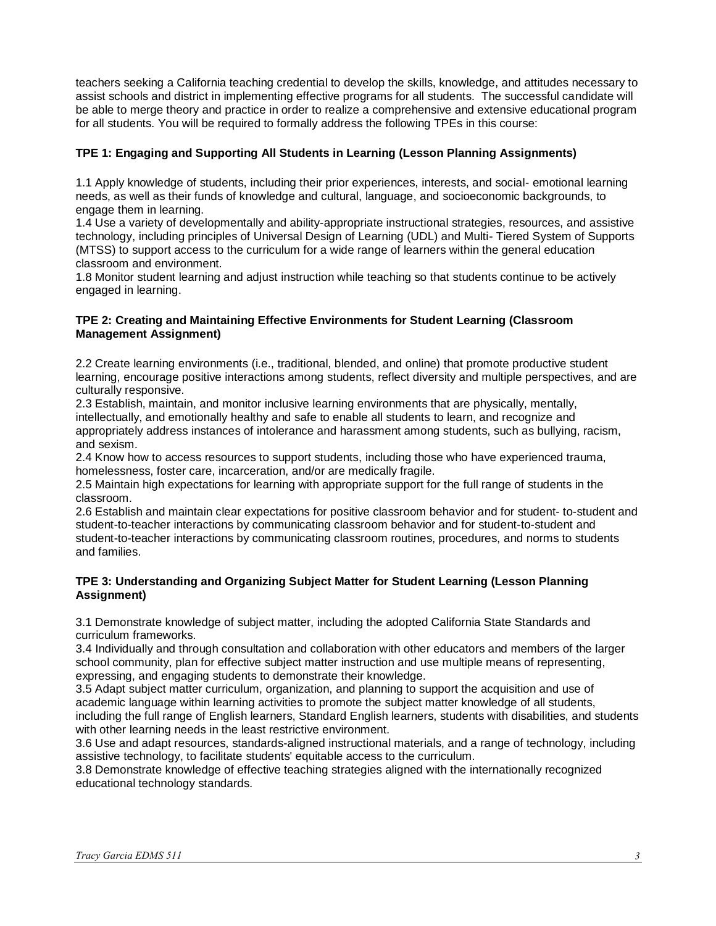teachers seeking a California teaching credential to develop the skills, knowledge, and attitudes necessary to assist schools and district in implementing effective programs for all students. The successful candidate will be able to merge theory and practice in order to realize a comprehensive and extensive educational program for all students. You will be required to formally address the following TPEs in this course:

# **TPE 1: Engaging and Supporting All Students in Learning (Lesson Planning Assignments)**

1.1 Apply knowledge of students, including their prior experiences, interests, and social- emotional learning needs, as well as their funds of knowledge and cultural, language, and socioeconomic backgrounds, to engage them in learning.

1.4 Use a variety of developmentally and ability-appropriate instructional strategies, resources, and assistive technology, including principles of Universal Design of Learning (UDL) and Multi- Tiered System of Supports (MTSS) to support access to the curriculum for a wide range of learners within the general education classroom and environment.

1.8 Monitor student learning and adjust instruction while teaching so that students continue to be actively engaged in learning.

## **TPE 2: Creating and Maintaining Effective Environments for Student Learning (Classroom Management Assignment)**

2.2 Create learning environments (i.e., traditional, blended, and online) that promote productive student learning, encourage positive interactions among students, reflect diversity and multiple perspectives, and are culturally responsive.

2.3 Establish, maintain, and monitor inclusive learning environments that are physically, mentally, intellectually, and emotionally healthy and safe to enable all students to learn, and recognize and appropriately address instances of intolerance and harassment among students, such as bullying, racism, and sexism.

2.4 Know how to access resources to support students, including those who have experienced trauma, homelessness, foster care, incarceration, and/or are medically fragile.

2.5 Maintain high expectations for learning with appropriate support for the full range of students in the classroom.

2.6 Establish and maintain clear expectations for positive classroom behavior and for student- to-student and student-to-teacher interactions by communicating classroom behavior and for student-to-student and student-to-teacher interactions by communicating classroom routines, procedures, and norms to students and families.

## **TPE 3: Understanding and Organizing Subject Matter for Student Learning (Lesson Planning Assignment)**

3.1 Demonstrate knowledge of subject matter, including the adopted California State Standards and curriculum frameworks.

3.4 Individually and through consultation and collaboration with other educators and members of the larger school community, plan for effective subject matter instruction and use multiple means of representing, expressing, and engaging students to demonstrate their knowledge.

3.5 Adapt subject matter curriculum, organization, and planning to support the acquisition and use of academic language within learning activities to promote the subject matter knowledge of all students, including the full range of English learners, Standard English learners, students with disabilities, and students with other learning needs in the least restrictive environment.

3.6 Use and adapt resources, standards-aligned instructional materials, and a range of technology, including assistive technology, to facilitate students' equitable access to the curriculum.

3.8 Demonstrate knowledge of effective teaching strategies aligned with the internationally recognized educational technology standards.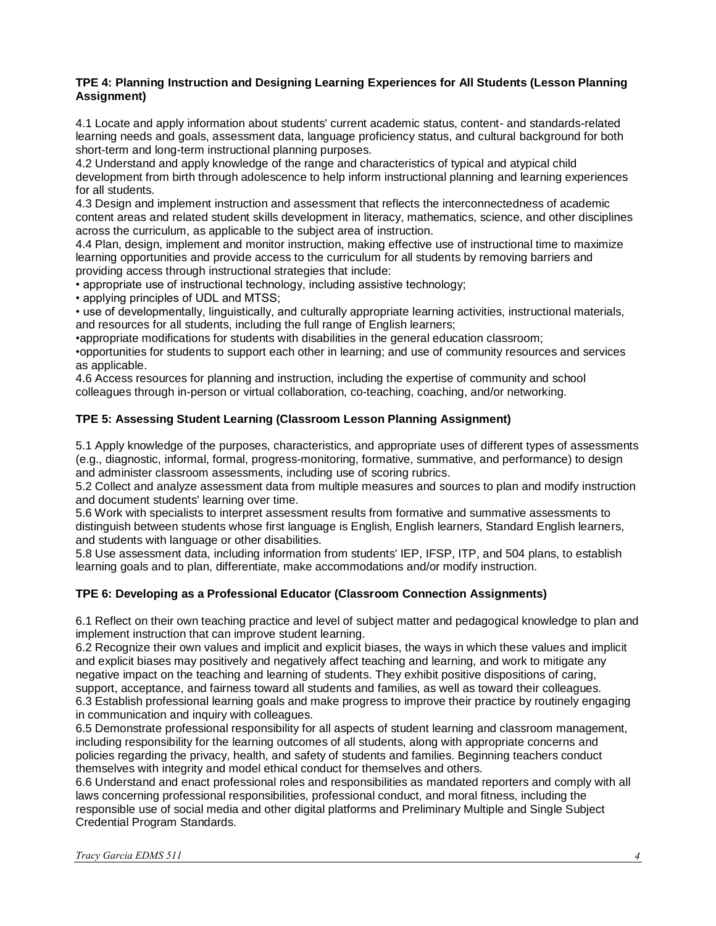## **TPE 4: Planning Instruction and Designing Learning Experiences for All Students (Lesson Planning Assignment)**

4.1 Locate and apply information about students' current academic status, content- and standards-related learning needs and goals, assessment data, language proficiency status, and cultural background for both short-term and long-term instructional planning purposes.

4.2 Understand and apply knowledge of the range and characteristics of typical and atypical child development from birth through adolescence to help inform instructional planning and learning experiences for all students.

4.3 Design and implement instruction and assessment that reflects the interconnectedness of academic content areas and related student skills development in literacy, mathematics, science, and other disciplines across the curriculum, as applicable to the subject area of instruction.

4.4 Plan, design, implement and monitor instruction, making effective use of instructional time to maximize learning opportunities and provide access to the curriculum for all students by removing barriers and providing access through instructional strategies that include:

• appropriate use of instructional technology, including assistive technology;

• applying principles of UDL and MTSS;

• use of developmentally, linguistically, and culturally appropriate learning activities, instructional materials, and resources for all students, including the full range of English learners;

•appropriate modifications for students with disabilities in the general education classroom;

•opportunities for students to support each other in learning; and use of community resources and services as applicable.

4.6 Access resources for planning and instruction, including the expertise of community and school colleagues through in-person or virtual collaboration, co-teaching, coaching, and/or networking.

# **TPE 5: Assessing Student Learning (Classroom Lesson Planning Assignment)**

5.1 Apply knowledge of the purposes, characteristics, and appropriate uses of different types of assessments (e.g., diagnostic, informal, formal, progress-monitoring, formative, summative, and performance) to design and administer classroom assessments, including use of scoring rubrics.

5.2 Collect and analyze assessment data from multiple measures and sources to plan and modify instruction and document students' learning over time.

5.6 Work with specialists to interpret assessment results from formative and summative assessments to distinguish between students whose first language is English, English learners, Standard English learners, and students with language or other disabilities.

5.8 Use assessment data, including information from students' IEP, IFSP, ITP, and 504 plans, to establish learning goals and to plan, differentiate, make accommodations and/or modify instruction.

# **TPE 6: Developing as a Professional Educator (Classroom Connection Assignments)**

6.1 Reflect on their own teaching practice and level of subject matter and pedagogical knowledge to plan and implement instruction that can improve student learning.

6.2 Recognize their own values and implicit and explicit biases, the ways in which these values and implicit and explicit biases may positively and negatively affect teaching and learning, and work to mitigate any negative impact on the teaching and learning of students. They exhibit positive dispositions of caring, support, acceptance, and fairness toward all students and families, as well as toward their colleagues. 6.3 Establish professional learning goals and make progress to improve their practice by routinely engaging in communication and inquiry with colleagues.

6.5 Demonstrate professional responsibility for all aspects of student learning and classroom management, including responsibility for the learning outcomes of all students, along with appropriate concerns and policies regarding the privacy, health, and safety of students and families. Beginning teachers conduct themselves with integrity and model ethical conduct for themselves and others.

6.6 Understand and enact professional roles and responsibilities as mandated reporters and comply with all laws concerning professional responsibilities, professional conduct, and moral fitness, including the responsible use of social media and other digital platforms and Preliminary Multiple and Single Subject Credential Program Standards.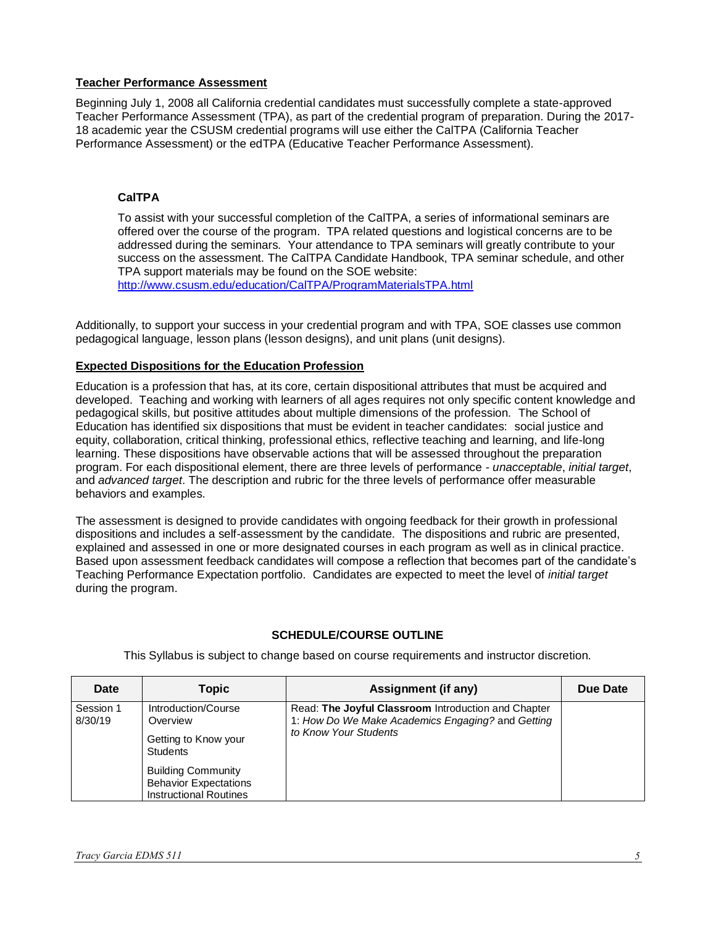## <span id="page-5-0"></span>**Teacher Performance Assessment**

Beginning July 1, 2008 all California credential candidates must successfully complete a state-approved Teacher Performance Assessment (TPA), as part of the credential program of preparation. During the 2017- 18 academic year the CSUSM credential programs will use either the CalTPA (California Teacher Performance Assessment) or the edTPA (Educative Teacher Performance Assessment).

## <span id="page-5-1"></span>**CalTPA**

To assist with your successful completion of the CalTPA, a series of informational seminars are offered over the course of the program. TPA related questions and logistical concerns are to be addressed during the seminars. Your attendance to TPA seminars will greatly contribute to your success on the assessment. The CalTPA Candidate Handbook, TPA seminar schedule, and other TPA support materials may be found on the SOE website:

<http://www.csusm.edu/education/CalTPA/ProgramMaterialsTPA.html>

Additionally, to support your success in your credential program and with TPA, SOE classes use common pedagogical language, lesson plans (lesson designs), and unit plans (unit designs).

# <span id="page-5-2"></span>**Expected Dispositions for the Education Profession**

Education is a profession that has, at its core, certain dispositional attributes that must be acquired and developed. Teaching and working with learners of all ages requires not only specific content knowledge and pedagogical skills, but positive attitudes about multiple dimensions of the profession. The School of Education has identified six dispositions that must be evident in teacher candidates: social justice and equity, collaboration, critical thinking, professional ethics, reflective teaching and learning, and life-long learning. These dispositions have observable actions that will be assessed throughout the preparation program. For each dispositional element, there are three levels of performance - *unacceptable*, *initial target*, and *advanced target*. The description and rubric for the three levels of performance offer measurable behaviors and examples.

The assessment is designed to provide candidates with ongoing feedback for their growth in professional dispositions and includes a self-assessment by the candidate. The dispositions and rubric are presented, explained and assessed in one or more designated courses in each program as well as in clinical practice. Based upon assessment feedback candidates will compose a reflection that becomes part of the candidate's Teaching Performance Expectation portfolio. Candidates are expected to meet the level of *initial target* during the program.

## **SCHEDULE/COURSE OUTLINE**

<span id="page-5-3"></span>

| Date                 | <b>Topic</b>                                                                                                                                                             | <b>Assignment (if any)</b>                                                                                                        | Due Date |
|----------------------|--------------------------------------------------------------------------------------------------------------------------------------------------------------------------|-----------------------------------------------------------------------------------------------------------------------------------|----------|
| Session 1<br>8/30/19 | Introduction/Course<br>Overview<br>Getting to Know your<br><b>Students</b><br><b>Building Community</b><br><b>Behavior Expectations</b><br><b>Instructional Routines</b> | Read: The Joyful Classroom Introduction and Chapter<br>1: How Do We Make Academics Engaging? and Getting<br>to Know Your Students |          |

This Syllabus is subject to change based on course requirements and instructor discretion.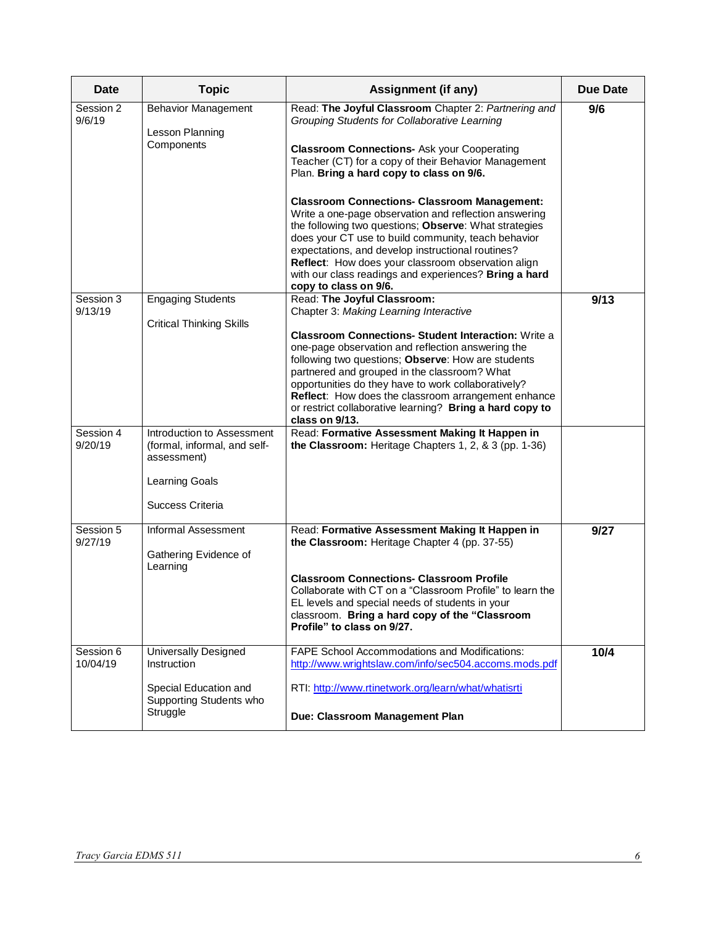| Date                  | <b>Topic</b>                                                                                                    | <b>Assignment (if any)</b>                                                                                                                                                                                                                                                                                                                                                                                                                                                                 | <b>Due Date</b> |
|-----------------------|-----------------------------------------------------------------------------------------------------------------|--------------------------------------------------------------------------------------------------------------------------------------------------------------------------------------------------------------------------------------------------------------------------------------------------------------------------------------------------------------------------------------------------------------------------------------------------------------------------------------------|-----------------|
| Session 2<br>9/6/19   | <b>Behavior Management</b><br>Lesson Planning<br>Components                                                     | Read: The Joyful Classroom Chapter 2: Partnering and<br>Grouping Students for Collaborative Learning<br><b>Classroom Connections- Ask your Cooperating</b><br>Teacher (CT) for a copy of their Behavior Management<br>Plan. Bring a hard copy to class on 9/6.<br><b>Classroom Connections- Classroom Management:</b><br>Write a one-page observation and reflection answering                                                                                                             | 9/6             |
|                       |                                                                                                                 | the following two questions; Observe: What strategies<br>does your CT use to build community, teach behavior<br>expectations, and develop instructional routines?<br>Reflect: How does your classroom observation align<br>with our class readings and experiences? Bring a hard<br>copy to class on 9/6.                                                                                                                                                                                  |                 |
| Session 3<br>9/13/19  | <b>Engaging Students</b><br><b>Critical Thinking Skills</b>                                                     | Read: The Joyful Classroom:<br>Chapter 3: Making Learning Interactive<br><b>Classroom Connections- Student Interaction: Write a</b><br>one-page observation and reflection answering the<br>following two questions; Observe: How are students<br>partnered and grouped in the classroom? What<br>opportunities do they have to work collaboratively?<br>Reflect: How does the classroom arrangement enhance<br>or restrict collaborative learning? Bring a hard copy to<br>class on 9/13. | 9/13            |
| Session 4<br>9/20/19  | Introduction to Assessment<br>(formal, informal, and self-<br>assessment)<br>Learning Goals<br>Success Criteria | Read: Formative Assessment Making It Happen in<br>the Classroom: Heritage Chapters 1, 2, & 3 (pp. 1-36)                                                                                                                                                                                                                                                                                                                                                                                    |                 |
| Session 5<br>9/27/19  | <b>Informal Assessment</b><br>Gathering Evidence of<br>Learning                                                 | Read: Formative Assessment Making It Happen in<br>the Classroom: Heritage Chapter 4 (pp. 37-55)<br><b>Classroom Connections- Classroom Profile</b><br>Collaborate with CT on a "Classroom Profile" to learn the<br>EL levels and special needs of students in your<br>classroom. Bring a hard copy of the "Classroom<br>Profile" to class on 9/27.                                                                                                                                         | 9/27            |
| Session 6<br>10/04/19 | Universally Designed<br><b>Instruction</b><br>Special Education and<br>Supporting Students who<br>Struggle      | <b>FAPE School Accommodations and Modifications:</b><br>http://www.wrightslaw.com/info/sec504.accoms.mods.pdf<br>RTI: http://www.rtinetwork.org/learn/what/whatisrti<br>Due: Classroom Management Plan                                                                                                                                                                                                                                                                                     | 10/4            |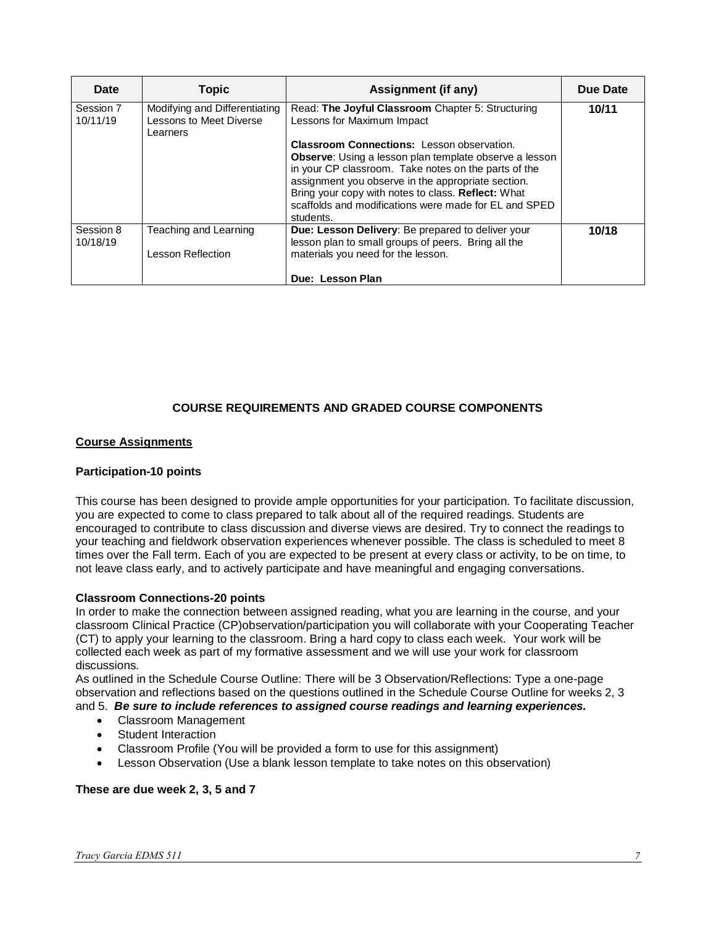| Date                  | <b>Topic</b>                                                                | <b>Assignment (if any)</b>                                                                               | Due Date |
|-----------------------|-----------------------------------------------------------------------------|----------------------------------------------------------------------------------------------------------|----------|
| Session 7<br>10/11/19 | Modifying and Differentiating<br><b>Lessons to Meet Diverse</b><br>Learners | Read: The Joyful Classroom Chapter 5: Structuring<br>Lessons for Maximum Impact                          | 10/11    |
|                       |                                                                             | <b>Classroom Connections:</b> Lesson observation.                                                        |          |
|                       |                                                                             | <b>Observe:</b> Using a lesson plan template observe a lesson                                            |          |
|                       |                                                                             | in your CP classroom. Take notes on the parts of the                                                     |          |
|                       |                                                                             | assignment you observe in the appropriate section.                                                       |          |
|                       |                                                                             | Bring your copy with notes to class. Reflect: What                                                       |          |
|                       |                                                                             | scaffolds and modifications were made for EL and SPED                                                    |          |
|                       |                                                                             | students.                                                                                                |          |
| Session 8<br>10/18/19 | Teaching and Learning                                                       | Due: Lesson Delivery: Be prepared to deliver your<br>lesson plan to small groups of peers. Bring all the | 10/18    |
|                       | Lesson Reflection                                                           | materials you need for the lesson.                                                                       |          |
|                       |                                                                             |                                                                                                          |          |
|                       |                                                                             | Due: Lesson Plan                                                                                         |          |

# **COURSE REQUIREMENTS AND GRADED COURSE COMPONENTS**

## <span id="page-7-1"></span><span id="page-7-0"></span>**Course Assignments**

### **Participation-10 points**

This course has been designed to provide ample opportunities for your participation. To facilitate discussion, you are expected to come to class prepared to talk about all of the required readings. Students are encouraged to contribute to class discussion and diverse views are desired. Try to connect the readings to your teaching and fieldwork observation experiences whenever possible. The class is scheduled to meet 8 times over the Fall term. Each of you are expected to be present at every class or activity, to be on time, to not leave class early, and to actively participate and have meaningful and engaging conversations.

### **Classroom Connections-20 points**

In order to make the connection between assigned reading, what you are learning in the course, and your classroom Clinical Practice (CP)observation/participation you will collaborate with your Cooperating Teacher (CT) to apply your learning to the classroom. Bring a hard copy to class each week. Your work will be collected each week as part of my formative assessment and we will use your work for classroom discussions.

As outlined in the Schedule Course Outline: There will be 3 Observation/Reflections: Type a one-page observation and reflections based on the questions outlined in the Schedule Course Outline for weeks 2, 3 and 5. *Be sure to include references to assigned course readings and learning experiences.*

- Classroom Management
- Student Interaction
- Classroom Profile (You will be provided a form to use for this assignment)
- Lesson Observation (Use a blank lesson template to take notes on this observation)

### **These are due week 2, 3, 5 and 7**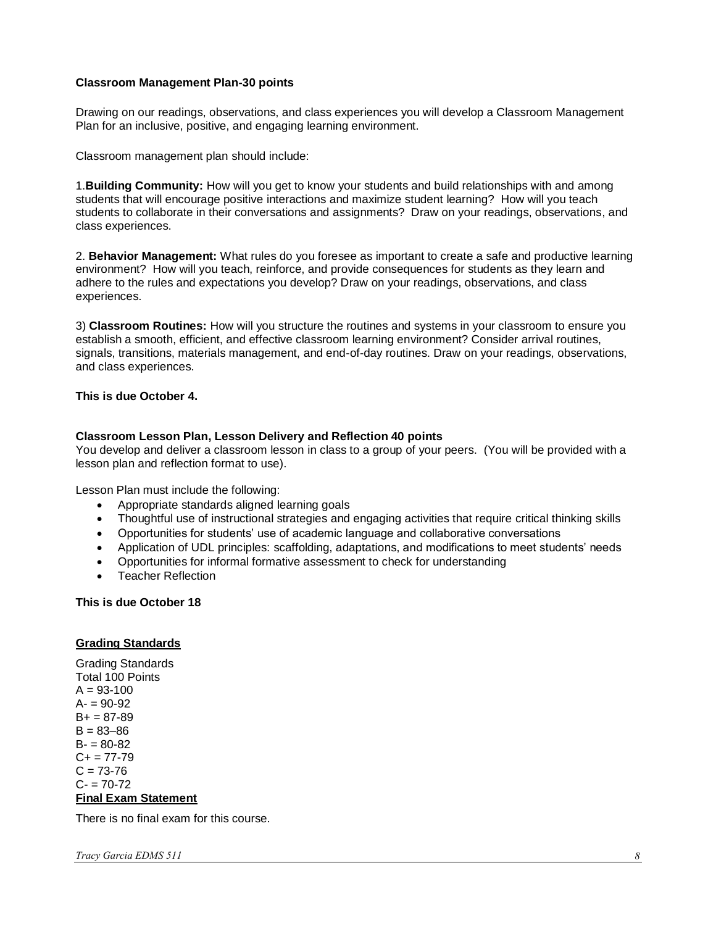### **Classroom Management Plan-30 points**

Drawing on our readings, observations, and class experiences you will develop a Classroom Management Plan for an inclusive, positive, and engaging learning environment.

Classroom management plan should include:

1.**Building Community:** How will you get to know your students and build relationships with and among students that will encourage positive interactions and maximize student learning? How will you teach students to collaborate in their conversations and assignments? Draw on your readings, observations, and class experiences.

2. **Behavior Management:** What rules do you foresee as important to create a safe and productive learning environment? How will you teach, reinforce, and provide consequences for students as they learn and adhere to the rules and expectations you develop? Draw on your readings, observations, and class experiences.

3) **Classroom Routines:** How will you structure the routines and systems in your classroom to ensure you establish a smooth, efficient, and effective classroom learning environment? Consider arrival routines, signals, transitions, materials management, and end-of-day routines. Draw on your readings, observations, and class experiences.

### **This is due October 4.**

### **Classroom Lesson Plan, Lesson Delivery and Reflection 40 points**

You develop and deliver a classroom lesson in class to a group of your peers. (You will be provided with a lesson plan and reflection format to use).

Lesson Plan must include the following:

- Appropriate standards aligned learning goals
- Thoughtful use of instructional strategies and engaging activities that require critical thinking skills
- Opportunities for students' use of academic language and collaborative conversations
- Application of UDL principles: scaffolding, adaptations, and modifications to meet students' needs
- Opportunities for informal formative assessment to check for understanding
- Teacher Reflection

#### **This is due October 18**

#### <span id="page-8-0"></span>**Grading Standards**

Grading Standards Total 100 Points  $A = 93 - 100$  $A = 90-92$  $B+ = 87-89$  $B = 83 - 86$  $B - 80 - 82$  $C+= 77-79$  $C = 73 - 76$  $C = 70-72$ **Final Exam Statement**

<span id="page-8-1"></span>There is no final exam for this course.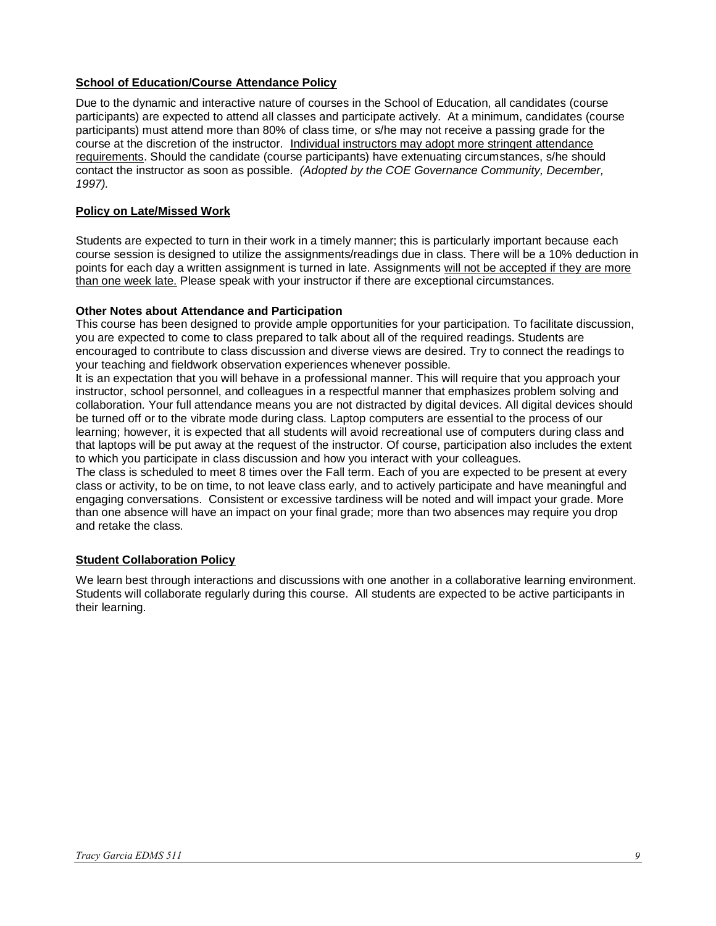## <span id="page-9-0"></span>**School of Education/Course Attendance Policy**

Due to the dynamic and interactive nature of courses in the School of Education, all candidates (course participants) are expected to attend all classes and participate actively. At a minimum, candidates (course participants) must attend more than 80% of class time, or s/he may not receive a passing grade for the course at the discretion of the instructor. Individual instructors may adopt more stringent attendance requirements. Should the candidate (course participants) have extenuating circumstances, s/he should contact the instructor as soon as possible. *(Adopted by the COE Governance Community, December, 1997).*

# <span id="page-9-1"></span>**Policy on Late/Missed Work**

Students are expected to turn in their work in a timely manner; this is particularly important because each course session is designed to utilize the assignments/readings due in class. There will be a 10% deduction in points for each day a written assignment is turned in late. Assignments will not be accepted if they are more than one week late. Please speak with your instructor if there are exceptional circumstances.

## **Other Notes about Attendance and Participation**

This course has been designed to provide ample opportunities for your participation. To facilitate discussion, you are expected to come to class prepared to talk about all of the required readings. Students are encouraged to contribute to class discussion and diverse views are desired. Try to connect the readings to your teaching and fieldwork observation experiences whenever possible.

It is an expectation that you will behave in a professional manner. This will require that you approach your instructor, school personnel, and colleagues in a respectful manner that emphasizes problem solving and collaboration. Your full attendance means you are not distracted by digital devices. All digital devices should be turned off or to the vibrate mode during class. Laptop computers are essential to the process of our learning; however, it is expected that all students will avoid recreational use of computers during class and that laptops will be put away at the request of the instructor. Of course, participation also includes the extent to which you participate in class discussion and how you interact with your colleagues.

The class is scheduled to meet 8 times over the Fall term. Each of you are expected to be present at every class or activity, to be on time, to not leave class early, and to actively participate and have meaningful and engaging conversations. Consistent or excessive tardiness will be noted and will impact your grade. More than one absence will have an impact on your final grade; more than two absences may require you drop and retake the class.

## <span id="page-9-2"></span>**Student Collaboration Policy**

We learn best through interactions and discussions with one another in a collaborative learning environment. Students will collaborate regularly during this course. All students are expected to be active participants in their learning.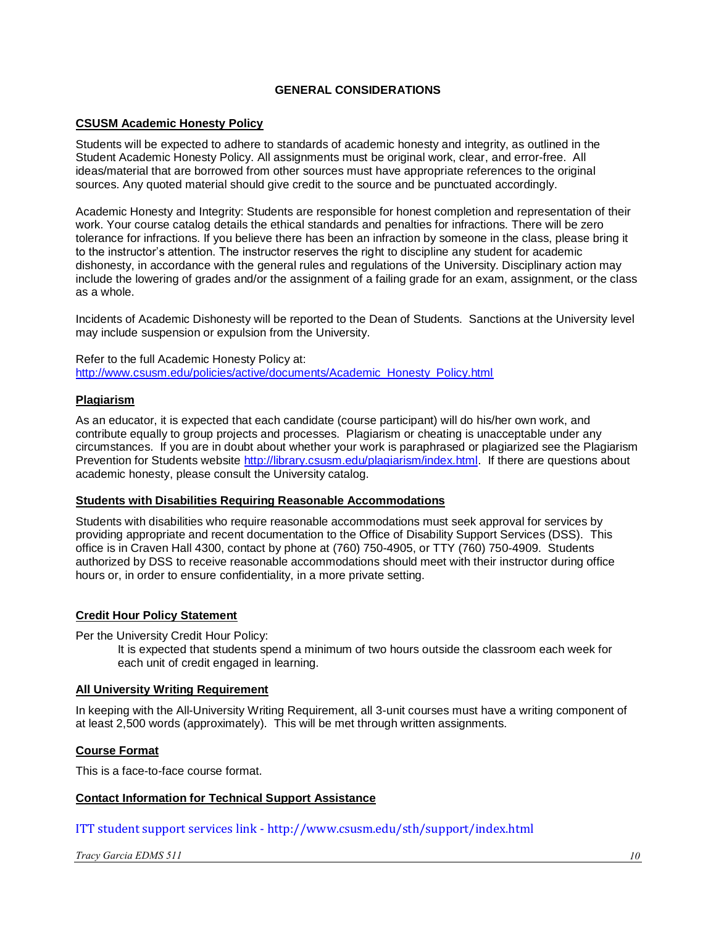## **GENERAL CONSIDERATIONS**

## <span id="page-10-1"></span><span id="page-10-0"></span>**CSUSM Academic Honesty Policy**

Students will be expected to adhere to standards of academic honesty and integrity, as outlined in the Student Academic Honesty Policy. All assignments must be original work, clear, and error-free. All ideas/material that are borrowed from other sources must have appropriate references to the original sources. Any quoted material should give credit to the source and be punctuated accordingly.

Academic Honesty and Integrity: Students are responsible for honest completion and representation of their work. Your course catalog details the ethical standards and penalties for infractions. There will be zero tolerance for infractions. If you believe there has been an infraction by someone in the class, please bring it to the instructor's attention. The instructor reserves the right to discipline any student for academic dishonesty, in accordance with the general rules and regulations of the University. Disciplinary action may include the lowering of grades and/or the assignment of a failing grade for an exam, assignment, or the class as a whole.

Incidents of Academic Dishonesty will be reported to the Dean of Students. Sanctions at the University level may include suspension or expulsion from the University.

Refer to the full Academic Honesty Policy at: [http://www.csusm.edu/policies/active/documents/Academic\\_Honesty\\_Policy.html](http://www.csusm.edu/policies/active/documents/Academic_Honesty_Policy.html)

### <span id="page-10-2"></span>**Plagiarism**

As an educator, it is expected that each candidate (course participant) will do his/her own work, and contribute equally to group projects and processes. Plagiarism or cheating is unacceptable under any circumstances. If you are in doubt about whether your work is paraphrased or plagiarized see the Plagiarism Prevention for Students website [http://library.csusm.edu/plagiarism/index.html.](http://library.csusm.edu/plagiarism/index.html) If there are questions about academic honesty, please consult the University catalog.

## <span id="page-10-3"></span>**Students with Disabilities Requiring Reasonable Accommodations**

Students with disabilities who require reasonable accommodations must seek approval for services by providing appropriate and recent documentation to the Office of Disability Support Services (DSS). This office is in Craven Hall 4300, contact by phone at (760) 750-4905, or TTY (760) 750-4909. Students authorized by DSS to receive reasonable accommodations should meet with their instructor during office hours or, in order to ensure confidentiality, in a more private setting.

### <span id="page-10-4"></span>**Credit Hour Policy Statement**

Per the University Credit Hour Policy:

It is expected that students spend a minimum of two hours outside the classroom each week for each unit of credit engaged in learning.

### <span id="page-10-5"></span>**All University Writing Requirement**

In keeping with the All-University Writing Requirement, all 3-unit courses must have a writing component of at least 2,500 words (approximately). This will be met through written assignments.

### <span id="page-10-6"></span>**Course Format**

This is a face-to-face course format.

### <span id="page-10-7"></span>**Contact Information for Technical Support Assistance**

ITT student support services link - http://www.csusm.edu/sth/support/index.html

*Tracy Garcia EDMS 511 10*